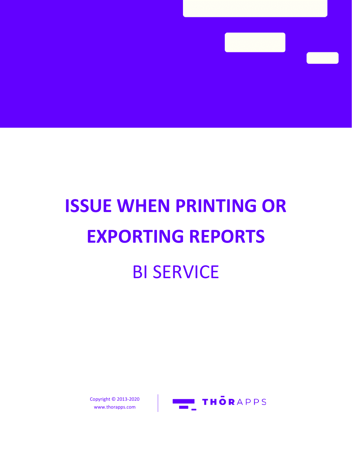# **ISSUE WHEN PRINTING OR EXPORTING REPORTS** BI SERVICE

Copyright © 2013-2020 www.thorapps.com

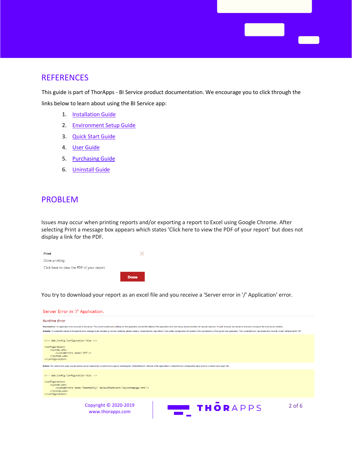## **REFERENCES**

This guide is part of ThorApps - BI Service product documentation. We encourage you to click through the links below to learn about using the BI Service app:

**Contract Contract** 

- 1. **[Installation Guide](https://biservice.thorapps.com/Help/ThorApps%20BI%20Service%20Installation%20Guide.pdf)**
- 2. [Environment Setup Guide](https://biservice.thorapps.com/Help/ThorApps%20BI%20Service%20Environment%20Setup%20Guide.pdf)
- 3. [Quick Start Guide](https://biservice.thorapps.com/Help/ThorApps%20BI%20Service%20Quick%20Start%20Guide.pdf)
- 4. [User Guide](https://biservice.thorapps.com/Help/ThorApps%20BI%20Service%20User%20Guide.pdf)
- 5. [Purchasing Guide](https://support.thorapps.com/Downloads/ThorApps%20Online%20Services%20Purchasing%20Guide.pdf)
- 6. [Uninstall Guide](https://biservice.thorapps.com/Help/ThorApps%20BI%20Service%20Uninstall%20Guide.pdf)

### PROBLEM

Issues may occur when printing reports and/or exporting a report to Excel using Google Chrome. After selecting Print a message box appears which states 'Click here to view the PDF of your report' but does not display a link for the PDF.

| Print                                      |             |
|--------------------------------------------|-------------|
| Done printing.                             |             |
| Click here to view the PDF of your report. |             |
|                                            | <b>Done</b> |

You try to download your report as an excel file and you receive a 'Server error in '/' Application' error.

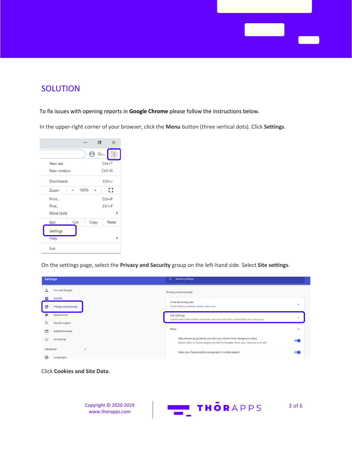

## **SOLUTION**

#### To fix issues with opening reports in **Google Chrome** please follow the instructions below.

In the upper-right corner of your browser, click the **Menu** button (three vertical dots). Click **Settings**.



On the settings page, select the **Privacy and Security** group on the left-hand side. Select **Site settings**.

|                     | <b>Settings</b>             | $Q_{\rm c}$<br><b>Search settings</b>                                                                                                            |        |
|---------------------|-----------------------------|--------------------------------------------------------------------------------------------------------------------------------------------------|--------|
|                     | You and Google              | Privacy and security                                                                                                                             |        |
| 自                   | Autofill                    |                                                                                                                                                  |        |
| G                   | <b>Privacy and security</b> | Clear browsing data<br>Clear history, cookies, cache, and more                                                                                   |        |
| ⊕                   | Appearance                  | <b>Site Settings</b>                                                                                                                             |        |
| Q                   | Search engine               | Control what information websites can use and what content they can show you                                                                     |        |
| ⋴                   | Default browser             | More                                                                                                                                             | $\sim$ |
| $^{\left(1\right)}$ | On startup                  | Safe Browsing (protects you and your device from dangerous sites)<br>Sends URLs of some pages you visit to Google, when your security is at risk |        |
| Advanced            | ▲                           | Warn you if passwords are exposed in a data breach                                                                                               |        |
|                     | Languages                   |                                                                                                                                                  |        |

Click **Cookies and Site Data**.

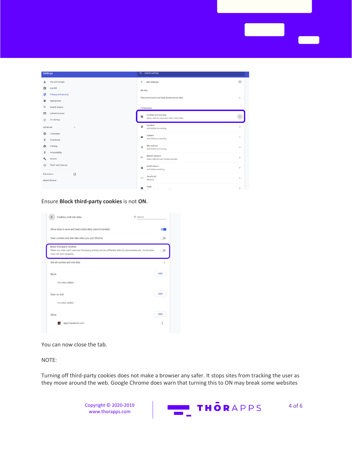| <b>Settings</b> |                                 | <b>Q</b> Search settings                      |                                          |                |  |
|-----------------|---------------------------------|-----------------------------------------------|------------------------------------------|----------------|--|
| ∸               | You and Google                  |                                               | $\leftarrow$ Site Settings               | $\circledcirc$ |  |
| 自               | Autofill                        | <b>All sites</b>                              |                                          |                |  |
| ⊕               | <b>Privacy and security</b>     |                                               |                                          |                |  |
| ⊕               | Appearance                      | View permissions and data stored across sites |                                          | ×              |  |
| Q               | Search engine                   | Permissions                                   |                                          |                |  |
| $\Box$          | Default browser                 |                                               | Cookies and site data                    |                |  |
| $\cup$          | On startup                      |                                               | Allow sites to save and read cookie data |                |  |
| Advanced        | $\blacktriangle$                | $\circ$                                       | Location<br>Ask before accessing         | ٠              |  |
| $\oplus$        | Languages                       | $\blacksquare$                                | Camera                                   | ×              |  |
| ≛               | Downloads                       |                                               | Ask before accessing                     |                |  |
| ē               | Printing                        | $\mathbb{J}$                                  | Microphone<br>Ask before accessing       | $\,$           |  |
| Ť               | Accessibility                   |                                               | Motion sensors                           |                |  |
| ىد              | System                          | $(+)$                                         | Allow sites to use motion sensors        | $\mathbf{b}$   |  |
| $\odot$         | Reset and clean up              | ▲                                             | Notifications<br>Ask before sending      | ٠              |  |
|                 | Ø<br>Extensions<br>About Chrome | $\langle \rangle$                             | JavaScript<br>Allowed                    | $\,$           |  |
|                 |                                 |                                               | Flash<br>we have a series of the series  | $\,$           |  |

#### Ensure **Block third-party cookies** is not **ON**.

| Cookies and site data                                                                                                                                        | Q Search |
|--------------------------------------------------------------------------------------------------------------------------------------------------------------|----------|
| Allow sites to save and read cookie data (recommended)                                                                                                       |          |
| Clear cookies and site data when you guit Chrome                                                                                                             | Œ        |
| Block third-party cookies<br>When on, sites can't use your browsing activity across different sites to personalize ads. Some sites<br>may not work properly. | $\equiv$ |
| See all cookies and site data                                                                                                                                |          |
| Block                                                                                                                                                        | Add      |
| No sites added                                                                                                                                               |          |
| Clear on exit                                                                                                                                                | Add      |
| No sites added                                                                                                                                               |          |
| Allow                                                                                                                                                        | Add      |
| apps.facebook.com                                                                                                                                            | ŧ        |

You can now close the tab.

#### NOTE:

Turning off third-party cookies does not make a browser any safer. It stops sites from tracking the user as they move around the web. Google Chrome does warn that turning this to ON may break some websites

> Copyright © 2020-2019 [www.thorapps.com](http://www.thorapps.com/)

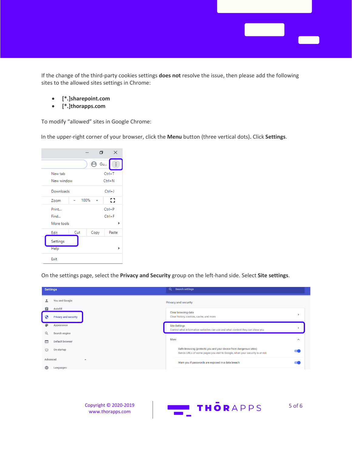If the change of the third-party cookies settings **does not** resolve the issue, then please add the following sites to the allowed sites settings in Chrome:

- **[\*.]sharepoint.com**
- **[\*.]thorapps.com**

To modify "allowed" sites in Google Chrome:

In the upper-right corner of your browser, click the **Menu** button (three vertical dots). Click **Settings**.

|             |     | σ                     | ×                |
|-------------|-----|-----------------------|------------------|
|             |     | <b>Gu</b><br>$\Theta$ | $\ddot{\bullet}$ |
| New tab     |     |                       | $Ctrl+T$         |
| New window  |     |                       | $Ctrl + N$       |
| Downloads   |     |                       | $Ctrl + J$       |
| Zoom        |     | 100%                  | Ω                |
| Print       |     |                       | $Ctrl + P$       |
| Find        |     |                       | $Ctrl + F$       |
| More tools  |     |                       | ь                |
| Edit        | Cut | Copy                  | Paste            |
| Settings    |     |                       |                  |
| <b>Help</b> |     |                       | ь                |
| Exit        |     |                       |                  |

On the settings page, select the **Privacy and Security** group on the left-hand side. Select **Site settings**.